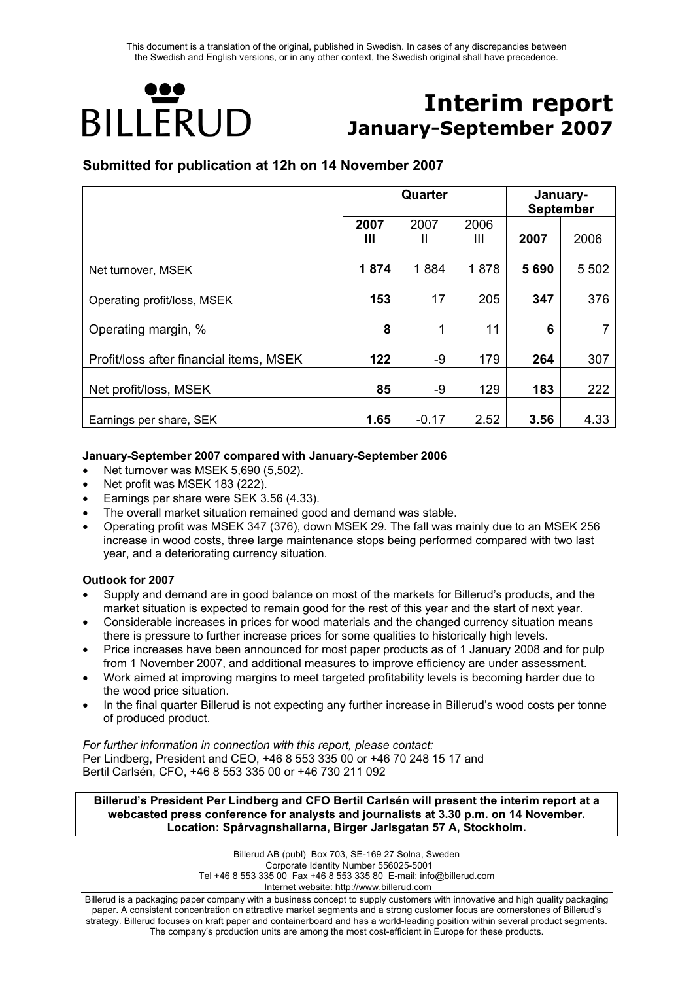# HO **BILLERUD**

## **Interim report January-September 2007**

#### **Submitted for publication at 12h on 14 November 2007**

|                                         |      | Quarter | January-<br><b>September</b> |      |         |
|-----------------------------------------|------|---------|------------------------------|------|---------|
|                                         | 2007 | 2007    | 2006                         |      |         |
|                                         | Ш    | Ш       | Ш                            | 2007 | 2006    |
| Net turnover, MSEK                      | 1874 | 1884    | 1878                         | 5690 | 5 5 0 2 |
| Operating profit/loss, MSEK             | 153  | 17      | 205                          | 347  | 376     |
| Operating margin, %                     | 8    | 1       | 11                           | 6    |         |
| Profit/loss after financial items, MSEK | 122  | -9      | 179                          | 264  | 307     |
| Net profit/loss, MSEK                   | 85   | -9      | 129                          | 183  | 222     |
| Earnings per share, SEK                 | 1.65 | $-0.17$ | 2.52                         | 3.56 | 4.33    |

#### **January-September 2007 compared with January-September 2006**

- Net turnover was MSEK 5,690 (5,502).
- Net profit was MSEK 183 (222).
- Earnings per share were SEK 3.56 (4.33).
- The overall market situation remained good and demand was stable.
- Operating profit was MSEK 347 (376), down MSEK 29. The fall was mainly due to an MSEK 256 increase in wood costs, three large maintenance stops being performed compared with two last year, and a deteriorating currency situation.

#### **Outlook for 2007**

- Supply and demand are in good balance on most of the markets for Billerud's products, and the market situation is expected to remain good for the rest of this year and the start of next year.
- Considerable increases in prices for wood materials and the changed currency situation means there is pressure to further increase prices for some qualities to historically high levels.
- Price increases have been announced for most paper products as of 1 January 2008 and for pulp from 1 November 2007, and additional measures to improve efficiency are under assessment.
- Work aimed at improving margins to meet targeted profitability levels is becoming harder due to the wood price situation.
- In the final quarter Billerud is not expecting any further increase in Billerud's wood costs per tonne of produced product.

*For further information in connection with this report, please contact:*  Per Lindberg, President and CEO, +46 8 553 335 00 or +46 70 248 15 17 and Bertil Carlsén, CFO, +46 8 553 335 00 or +46 730 211 092

#### **Billerud's President Per Lindberg and CFO Bertil Carlsén will present the interim report at a webcasted press conference for analysts and journalists at 3.30 p.m. on 14 November. Location: Spårvagnshallarna, Birger Jarlsgatan 57 A, Stockholm.**

Billerud AB (publ) Box 703, SE-169 27 Solna, Sweden Corporate Identity Number 556025-5001 Tel +46 8 553 335 00 Fax +46 8 553 335 80 E-mail: info@billerud.com Internet website: http://www.billerud.com

Billerud is a packaging paper company with a business concept to supply customers with innovative and high quality packaging paper. A consistent concentration on attractive market segments and a strong customer focus are cornerstones of Billerud's strategy. Billerud focuses on kraft paper and containerboard and has a world-leading position within several product segments. The company's production units are among the most cost-efficient in Europe for these products.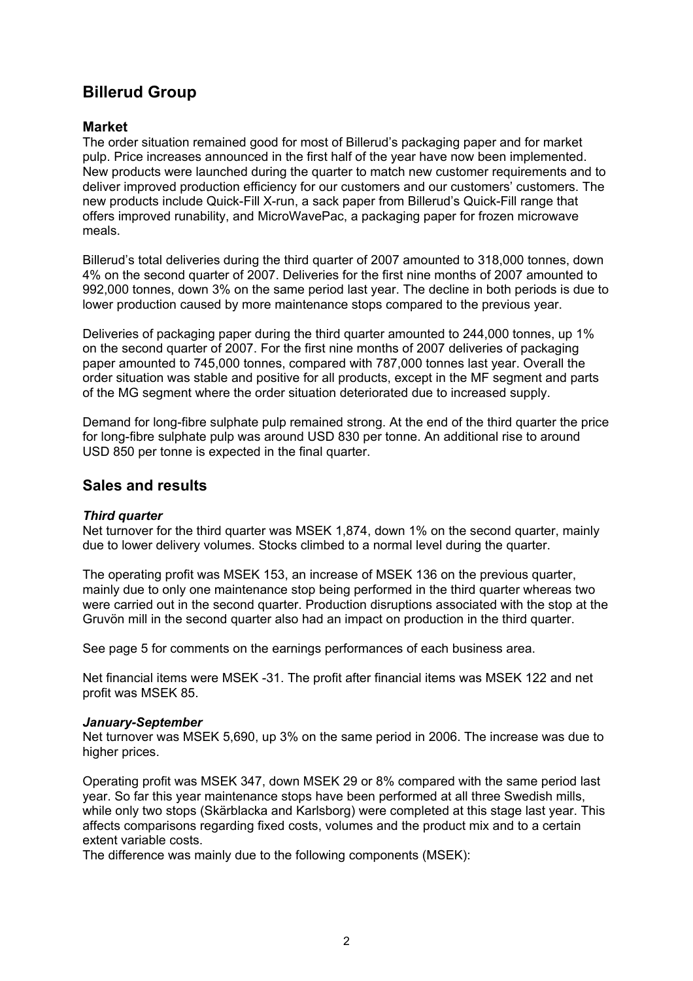## **Billerud Group**

#### **Market**

The order situation remained good for most of Billerud's packaging paper and for market pulp. Price increases announced in the first half of the year have now been implemented. New products were launched during the quarter to match new customer requirements and to deliver improved production efficiency for our customers and our customers' customers. The new products include Quick-Fill X-run, a sack paper from Billerud's Quick-Fill range that offers improved runability, and MicroWavePac, a packaging paper for frozen microwave meals.

Billerud's total deliveries during the third quarter of 2007 amounted to 318,000 tonnes, down 4% on the second quarter of 2007. Deliveries for the first nine months of 2007 amounted to 992,000 tonnes, down 3% on the same period last year. The decline in both periods is due to lower production caused by more maintenance stops compared to the previous year.

Deliveries of packaging paper during the third quarter amounted to 244,000 tonnes, up 1% on the second quarter of 2007. For the first nine months of 2007 deliveries of packaging paper amounted to 745,000 tonnes, compared with 787,000 tonnes last year. Overall the order situation was stable and positive for all products, except in the MF segment and parts of the MG segment where the order situation deteriorated due to increased supply.

Demand for long-fibre sulphate pulp remained strong. At the end of the third quarter the price for long-fibre sulphate pulp was around USD 830 per tonne. An additional rise to around USD 850 per tonne is expected in the final quarter.

#### **Sales and results**

#### *Third quarter*

Net turnover for the third quarter was MSEK 1,874, down 1% on the second quarter, mainly due to lower delivery volumes. Stocks climbed to a normal level during the quarter.

The operating profit was MSEK 153, an increase of MSEK 136 on the previous quarter, mainly due to only one maintenance stop being performed in the third quarter whereas two were carried out in the second quarter. Production disruptions associated with the stop at the Gruvön mill in the second quarter also had an impact on production in the third quarter.

See page 5 for comments on the earnings performances of each business area.

Net financial items were MSEK -31. The profit after financial items was MSEK 122 and net profit was MSEK 85.

#### *January-September*

Net turnover was MSEK 5,690, up 3% on the same period in 2006. The increase was due to higher prices.

Operating profit was MSEK 347, down MSEK 29 or 8% compared with the same period last year. So far this year maintenance stops have been performed at all three Swedish mills, while only two stops (Skärblacka and Karlsborg) were completed at this stage last year. This affects comparisons regarding fixed costs, volumes and the product mix and to a certain extent variable costs.

The difference was mainly due to the following components (MSEK):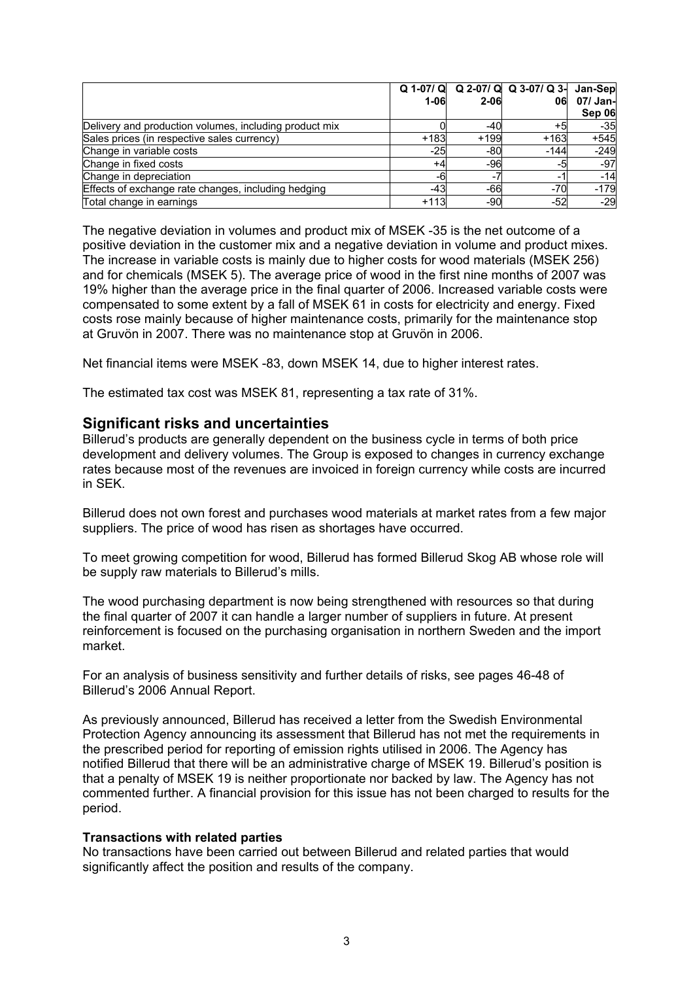|                                                        | 1-06   | $2 - 06$ | $Q$ 1-07/ $Q$ $Q$ 2-07/ $Q$ $Q$ 3-07/ $Q$ 3-<br>06 | Jan-Sep<br>07/ Jan-<br>Sep 06 |
|--------------------------------------------------------|--------|----------|----------------------------------------------------|-------------------------------|
| Delivery and production volumes, including product mix |        | -40      | +5                                                 | $-35$                         |
| Sales prices (in respective sales currency)            | $+183$ | $+199$   | $+163$                                             | $+545$                        |
| Change in variable costs                               | -25    | $-80$    | $-144$                                             | $-249$                        |
| Change in fixed costs                                  | +4     | $-96$    | -5                                                 | $-97$                         |
| Change in depreciation                                 | -6     |          | -                                                  | $-14$                         |
| Effects of exchange rate changes, including hedging    | -43    | $-66$    | $-70$                                              | $-179$                        |
| Total change in earnings                               | $+113$ | -90      | $-52$                                              | $-29$                         |

The negative deviation in volumes and product mix of MSEK -35 is the net outcome of a positive deviation in the customer mix and a negative deviation in volume and product mixes. The increase in variable costs is mainly due to higher costs for wood materials (MSEK 256) and for chemicals (MSEK 5). The average price of wood in the first nine months of 2007 was 19% higher than the average price in the final quarter of 2006. Increased variable costs were compensated to some extent by a fall of MSEK 61 in costs for electricity and energy. Fixed costs rose mainly because of higher maintenance costs, primarily for the maintenance stop at Gruvön in 2007. There was no maintenance stop at Gruvön in 2006.

Net financial items were MSEK -83, down MSEK 14, due to higher interest rates.

The estimated tax cost was MSEK 81, representing a tax rate of 31%.

#### **Significant risks and uncertainties**

Billerud's products are generally dependent on the business cycle in terms of both price development and delivery volumes. The Group is exposed to changes in currency exchange rates because most of the revenues are invoiced in foreign currency while costs are incurred in SEK.

Billerud does not own forest and purchases wood materials at market rates from a few major suppliers. The price of wood has risen as shortages have occurred.

To meet growing competition for wood, Billerud has formed Billerud Skog AB whose role will be supply raw materials to Billerud's mills.

The wood purchasing department is now being strengthened with resources so that during the final quarter of 2007 it can handle a larger number of suppliers in future. At present reinforcement is focused on the purchasing organisation in northern Sweden and the import market.

For an analysis of business sensitivity and further details of risks, see pages 46-48 of Billerud's 2006 Annual Report.

As previously announced, Billerud has received a letter from the Swedish Environmental Protection Agency announcing its assessment that Billerud has not met the requirements in the prescribed period for reporting of emission rights utilised in 2006. The Agency has notified Billerud that there will be an administrative charge of MSEK 19. Billerud's position is that a penalty of MSEK 19 is neither proportionate nor backed by law. The Agency has not commented further. A financial provision for this issue has not been charged to results for the period.

#### **Transactions with related parties**

No transactions have been carried out between Billerud and related parties that would significantly affect the position and results of the company.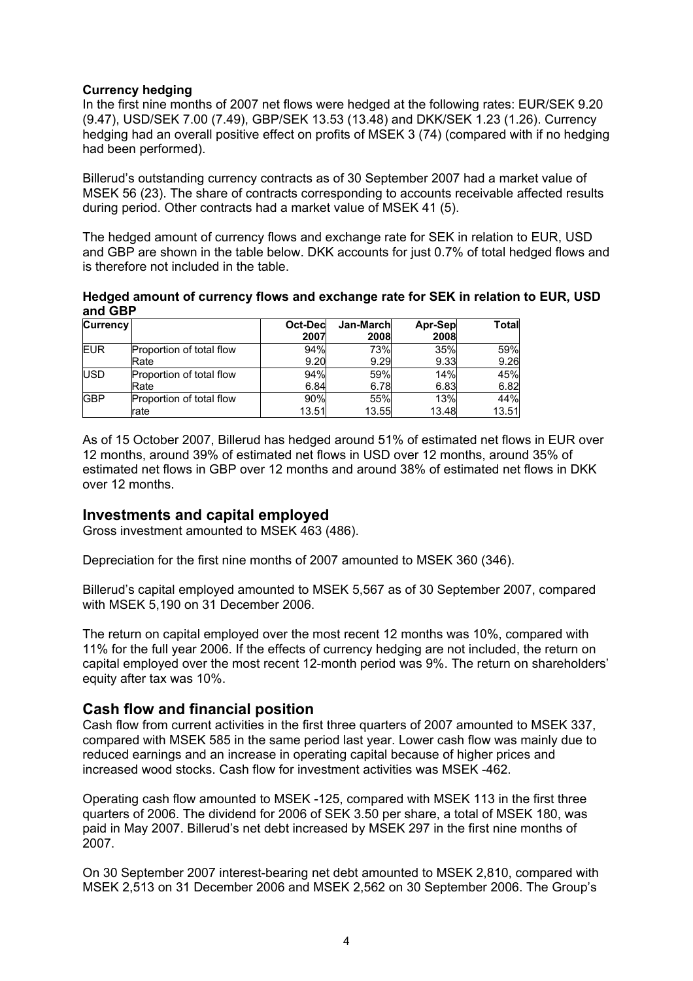#### **Currency hedging**

In the first nine months of 2007 net flows were hedged at the following rates: EUR/SEK 9.20 (9.47), USD/SEK 7.00 (7.49), GBP/SEK 13.53 (13.48) and DKK/SEK 1.23 (1.26). Currency hedging had an overall positive effect on profits of MSEK 3 (74) (compared with if no hedging had been performed).

Billerud's outstanding currency contracts as of 30 September 2007 had a market value of MSEK 56 (23). The share of contracts corresponding to accounts receivable affected results during period. Other contracts had a market value of MSEK 41 (5).

The hedged amount of currency flows and exchange rate for SEK in relation to EUR, USD and GBP are shown in the table below. DKK accounts for just 0.7% of total hedged flows and is therefore not included in the table.

**Hedged amount of currency flows and exchange rate for SEK in relation to EUR, USD and GBP** 

| <b>Currency</b> |                          | Oct-Decl<br>2007 | Jan-March<br>2008 | Apr-Sep<br>2008 | Total |
|-----------------|--------------------------|------------------|-------------------|-----------------|-------|
| <b>EUR</b>      | Proportion of total flow | 94%              | 73%               | 35%             | 59%   |
|                 | Rate                     | 9.20             | 9.29              | 9.33            | 9.26  |
| <b>USD</b>      | Proportion of total flow | 94%              | 59%               | 14%             | 45%   |
|                 | Rate                     | 6.84             | 6.78              | 6.83            | 6.82  |
| <b>GBP</b>      | Proportion of total flow | 90%              | 55%               | 13%             | 44%   |
|                 | lrate                    | 13.51            | 13.55             | 13.48           | 13.51 |

As of 15 October 2007, Billerud has hedged around 51% of estimated net flows in EUR over 12 months, around 39% of estimated net flows in USD over 12 months, around 35% of estimated net flows in GBP over 12 months and around 38% of estimated net flows in DKK over 12 months.

#### **Investments and capital employed**

Gross investment amounted to MSEK 463 (486).

Depreciation for the first nine months of 2007 amounted to MSEK 360 (346).

Billerud's capital employed amounted to MSEK 5,567 as of 30 September 2007, compared with MSEK 5,190 on 31 December 2006.

The return on capital employed over the most recent 12 months was 10%, compared with 11% for the full year 2006. If the effects of currency hedging are not included, the return on capital employed over the most recent 12-month period was 9%. The return on shareholders' equity after tax was 10%.

#### **Cash flow and financial position**

Cash flow from current activities in the first three quarters of 2007 amounted to MSEK 337, compared with MSEK 585 in the same period last year. Lower cash flow was mainly due to reduced earnings and an increase in operating capital because of higher prices and increased wood stocks. Cash flow for investment activities was MSEK -462.

Operating cash flow amounted to MSEK -125, compared with MSEK 113 in the first three quarters of 2006. The dividend for 2006 of SEK 3.50 per share, a total of MSEK 180, was paid in May 2007. Billerud's net debt increased by MSEK 297 in the first nine months of 2007.

On 30 September 2007 interest-bearing net debt amounted to MSEK 2,810, compared with MSEK 2,513 on 31 December 2006 and MSEK 2,562 on 30 September 2006. The Group's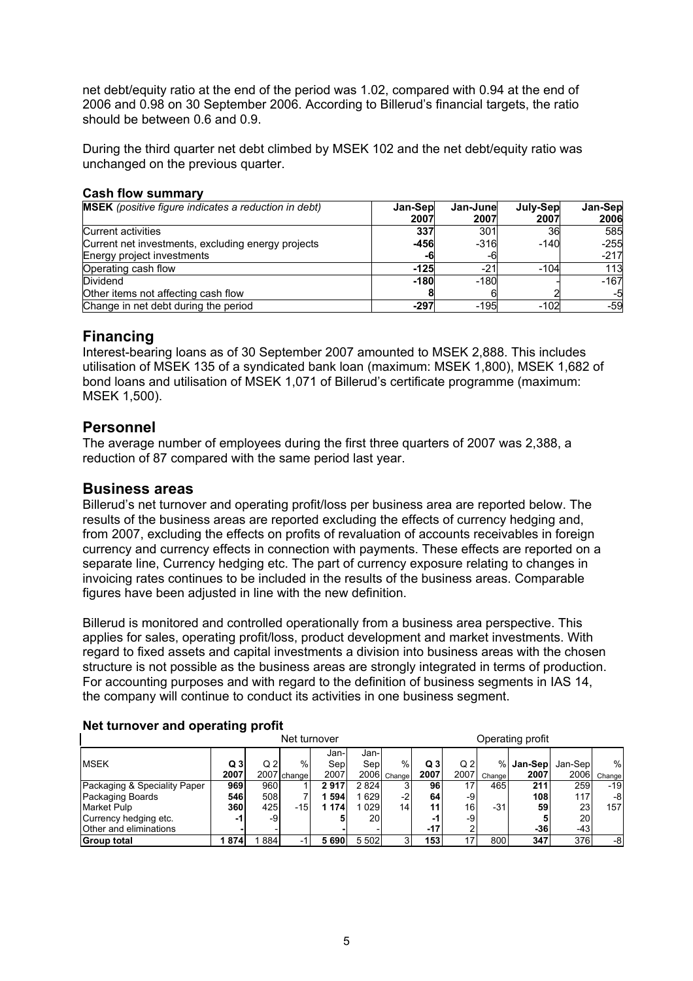net debt/equity ratio at the end of the period was 1.02, compared with 0.94 at the end of 2006 and 0.98 on 30 September 2006. According to Billerud's financial targets, the ratio should be between 0.6 and 0.9.

During the third quarter net debt climbed by MSEK 102 and the net debt/equity ratio was unchanged on the previous quarter.

#### **Cash flow summary**

| <b>MSEK</b> (positive figure indicates a reduction in debt) | Jan-Sep | Jan-Junel | July-Sep | Jan-Sep |
|-------------------------------------------------------------|---------|-----------|----------|---------|
|                                                             | 2007    | 2007      | 2007     | 2006    |
| <b>Current activities</b>                                   | 337     | 301       | 36       | 585     |
| Current net investments, excluding energy projects          | -456    | $-316$    | $-140$   | $-255$  |
| Energy project investments                                  | -6      | -6        |          | $-217$  |
| Operating cash flow                                         | $-125$  | $-21$     | $-104$   | 113     |
| Dividend                                                    | $-180$  | $-180$    |          | $-167$  |
| Other items not affecting cash flow                         |         |           |          | -5      |
| Change in net debt during the period                        | $-297$  | $-195$    | $-102$   | $-59$   |

## **Financing**

Interest-bearing loans as of 30 September 2007 amounted to MSEK 2,888. This includes utilisation of MSEK 135 of a syndicated bank loan (maximum: MSEK 1,800), MSEK 1,682 of bond loans and utilisation of MSEK 1,071 of Billerud's certificate programme (maximum: MSEK 1,500).

#### **Personnel**

The average number of employees during the first three quarters of 2007 was 2,388, a reduction of 87 compared with the same period last year.

#### **Business areas**

Billerud's net turnover and operating profit/loss per business area are reported below. The results of the business areas are reported excluding the effects of currency hedging and, from 2007, excluding the effects on profits of revaluation of accounts receivables in foreign currency and currency effects in connection with payments. These effects are reported on a separate line, Currency hedging etc. The part of currency exposure relating to changes in invoicing rates continues to be included in the results of the business areas. Comparable figures have been adjusted in line with the new definition.

Billerud is monitored and controlled operationally from a business area perspective. This applies for sales, operating profit/loss, product development and market investments. With regard to fixed assets and capital investments a division into business areas with the chosen structure is not possible as the business areas are strongly integrated in terms of production. For accounting purposes and with regard to the definition of business segments in IAS 14, the company will continue to conduct its activities in one business segment.

|                              |                | - - | Net turnover |       |         |                 |                |                 |        | Operating profit |         |        |
|------------------------------|----------------|-----|--------------|-------|---------|-----------------|----------------|-----------------|--------|------------------|---------|--------|
|                              |                |     |              | Jan-  | Jan-    |                 |                |                 |        |                  |         |        |
| <b>MSEK</b>                  | Q <sub>3</sub> | Q2  | %            | Sep   | Sep     | %               | Q <sub>3</sub> | Q2              | $\%$   | Jan-Sep          | Jan-Sep | %      |
|                              | 2007           |     | 2007 change  | 2007  |         | 2006 Change     | 2007           | 2007            | Change | 2007             | 2006    | Change |
| Packaging & Speciality Paper | 969            | 960 |              | 2917  | 2824    |                 | 96             | 17 <sub>1</sub> | 465    | 211              | 259     | $-19$  |
| Packaging Boards             | 546            | 508 |              | 594   | 629     | -2              | 64             | -9              |        | 108              | 117     | -81    |
| <b>Market Pulp</b>           | 360            | 425 | -15          | 1 174 | 029     | 14 <sub>1</sub> | 11             | 16              | -31    | 59               | 23      | 157    |
| Currency hedging etc.        | -1             | -9  |              |       | 20      |                 | -1             | -9              |        |                  | 20      |        |
| Other and eliminations       |                |     |              |       |         |                 | -17            |                 |        | -36              | -43     |        |
| Group total                  | 1 874          | 884 | -1           | 5690  | 5 5 0 2 |                 | 153            | 17.             | 800    | 347              | 376     | -8     |

#### **Net turnover and operating profit**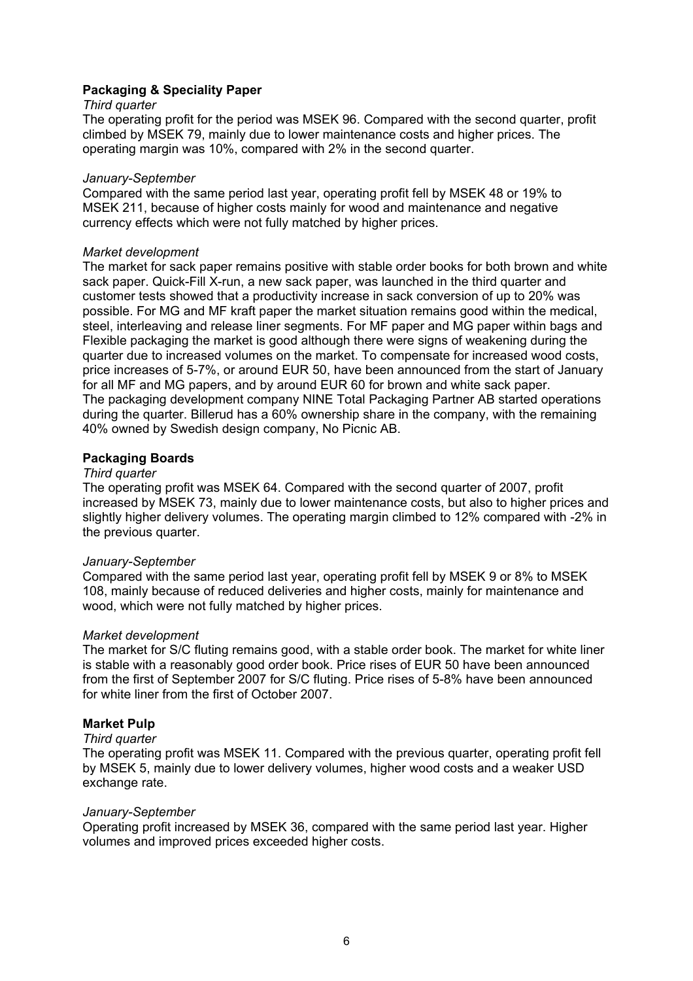#### **Packaging & Speciality Paper**

#### *Third quarter*

The operating profit for the period was MSEK 96. Compared with the second quarter, profit climbed by MSEK 79, mainly due to lower maintenance costs and higher prices. The operating margin was 10%, compared with 2% in the second quarter.

#### *January-September*

Compared with the same period last year, operating profit fell by MSEK 48 or 19% to MSEK 211, because of higher costs mainly for wood and maintenance and negative currency effects which were not fully matched by higher prices.

#### *Market development*

The market for sack paper remains positive with stable order books for both brown and white sack paper. Quick-Fill X-run, a new sack paper, was launched in the third quarter and customer tests showed that a productivity increase in sack conversion of up to 20% was possible. For MG and MF kraft paper the market situation remains good within the medical, steel, interleaving and release liner segments. For MF paper and MG paper within bags and Flexible packaging the market is good although there were signs of weakening during the quarter due to increased volumes on the market. To compensate for increased wood costs, price increases of 5-7%, or around EUR 50, have been announced from the start of January for all MF and MG papers, and by around EUR 60 for brown and white sack paper. The packaging development company NINE Total Packaging Partner AB started operations during the quarter. Billerud has a 60% ownership share in the company, with the remaining 40% owned by Swedish design company, No Picnic AB.

#### **Packaging Boards**

#### *Third quarter*

The operating profit was MSEK 64. Compared with the second quarter of 2007, profit increased by MSEK 73, mainly due to lower maintenance costs, but also to higher prices and slightly higher delivery volumes. The operating margin climbed to 12% compared with -2% in the previous quarter.

#### *January-September*

Compared with the same period last year, operating profit fell by MSEK 9 or 8% to MSEK 108, mainly because of reduced deliveries and higher costs, mainly for maintenance and wood, which were not fully matched by higher prices.

#### *Market development*

The market for S/C fluting remains good, with a stable order book. The market for white liner is stable with a reasonably good order book. Price rises of EUR 50 have been announced from the first of September 2007 for S/C fluting. Price rises of 5-8% have been announced for white liner from the first of October 2007.

#### **Market Pulp**

#### *Third quarter*

The operating profit was MSEK 11. Compared with the previous quarter, operating profit fell by MSEK 5, mainly due to lower delivery volumes, higher wood costs and a weaker USD exchange rate.

#### *January-September*

Operating profit increased by MSEK 36, compared with the same period last year. Higher volumes and improved prices exceeded higher costs.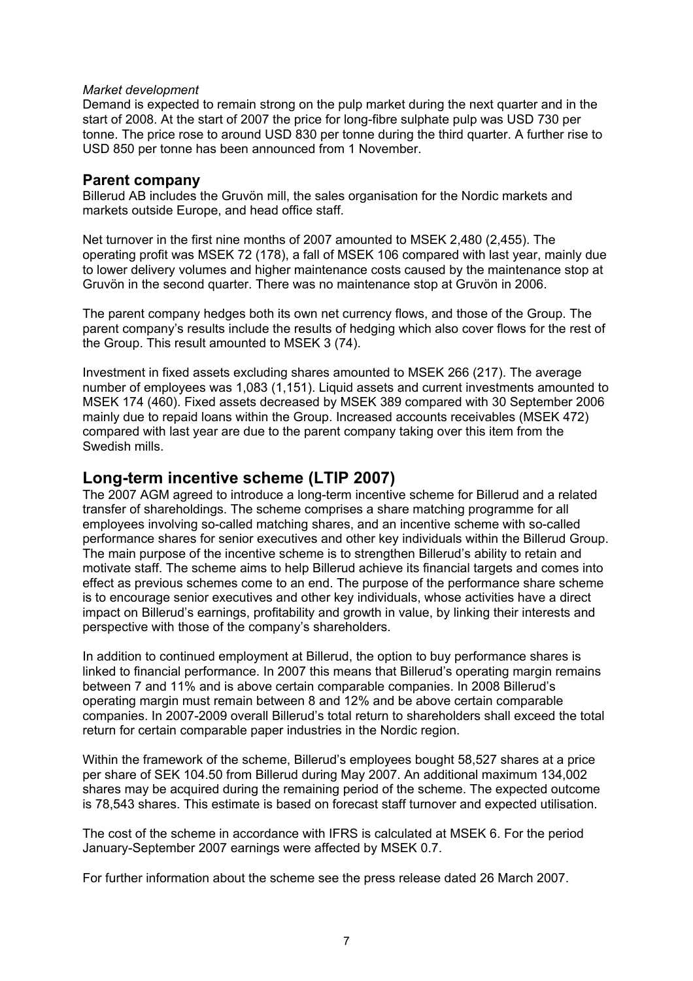#### *Market development*

Demand is expected to remain strong on the pulp market during the next quarter and in the start of 2008. At the start of 2007 the price for long-fibre sulphate pulp was USD 730 per tonne. The price rose to around USD 830 per tonne during the third quarter. A further rise to USD 850 per tonne has been announced from 1 November.

#### **Parent company**

Billerud AB includes the Gruvön mill, the sales organisation for the Nordic markets and markets outside Europe, and head office staff.

Net turnover in the first nine months of 2007 amounted to MSEK 2,480 (2,455). The operating profit was MSEK 72 (178), a fall of MSEK 106 compared with last year, mainly due to lower delivery volumes and higher maintenance costs caused by the maintenance stop at Gruvön in the second quarter. There was no maintenance stop at Gruvön in 2006.

The parent company hedges both its own net currency flows, and those of the Group. The parent company's results include the results of hedging which also cover flows for the rest of the Group. This result amounted to MSEK 3 (74).

Investment in fixed assets excluding shares amounted to MSEK 266 (217). The average number of employees was 1,083 (1,151). Liquid assets and current investments amounted to MSEK 174 (460). Fixed assets decreased by MSEK 389 compared with 30 September 2006 mainly due to repaid loans within the Group. Increased accounts receivables (MSEK 472) compared with last year are due to the parent company taking over this item from the Swedish mills.

## **Long-term incentive scheme (LTIP 2007)**

The 2007 AGM agreed to introduce a long-term incentive scheme for Billerud and a related transfer of shareholdings. The scheme comprises a share matching programme for all employees involving so-called matching shares, and an incentive scheme with so-called performance shares for senior executives and other key individuals within the Billerud Group. The main purpose of the incentive scheme is to strengthen Billerud's ability to retain and motivate staff. The scheme aims to help Billerud achieve its financial targets and comes into effect as previous schemes come to an end. The purpose of the performance share scheme is to encourage senior executives and other key individuals, whose activities have a direct impact on Billerud's earnings, profitability and growth in value, by linking their interests and perspective with those of the company's shareholders.

In addition to continued employment at Billerud, the option to buy performance shares is linked to financial performance. In 2007 this means that Billerud's operating margin remains between 7 and 11% and is above certain comparable companies. In 2008 Billerud's operating margin must remain between 8 and 12% and be above certain comparable companies. In 2007-2009 overall Billerud's total return to shareholders shall exceed the total return for certain comparable paper industries in the Nordic region.

Within the framework of the scheme, Billerud's employees bought 58,527 shares at a price per share of SEK 104.50 from Billerud during May 2007. An additional maximum 134,002 shares may be acquired during the remaining period of the scheme. The expected outcome is 78,543 shares. This estimate is based on forecast staff turnover and expected utilisation.

The cost of the scheme in accordance with IFRS is calculated at MSEK 6. For the period January-September 2007 earnings were affected by MSEK 0.7.

For further information about the scheme see the press release dated 26 March 2007.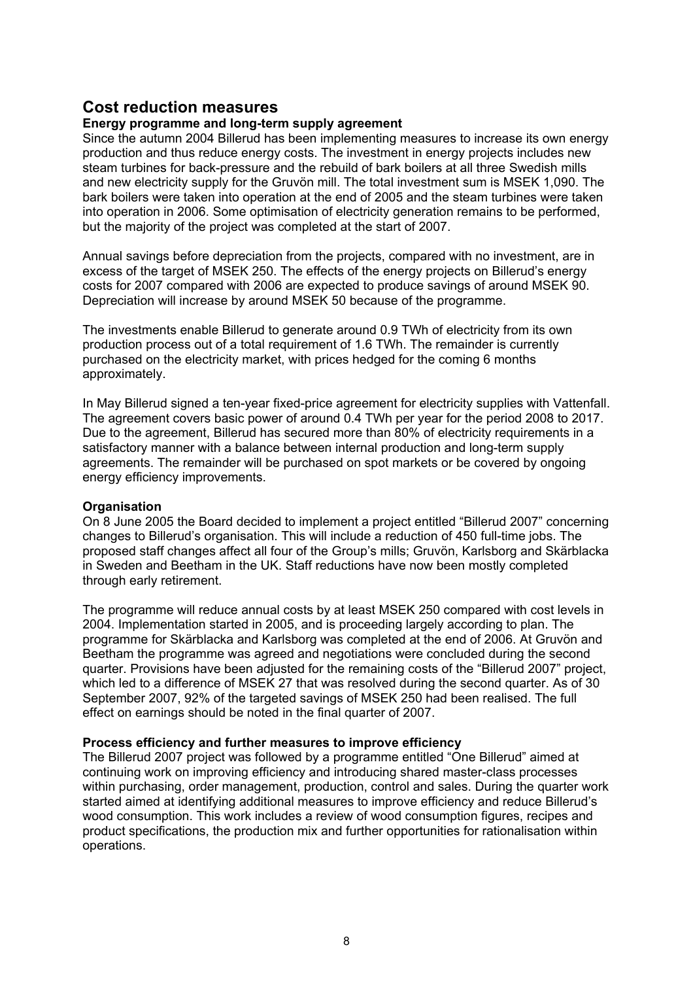## **Cost reduction measures**

#### **Energy programme and long-term supply agreement**

Since the autumn 2004 Billerud has been implementing measures to increase its own energy production and thus reduce energy costs. The investment in energy projects includes new steam turbines for back-pressure and the rebuild of bark boilers at all three Swedish mills and new electricity supply for the Gruvön mill. The total investment sum is MSEK 1,090. The bark boilers were taken into operation at the end of 2005 and the steam turbines were taken into operation in 2006. Some optimisation of electricity generation remains to be performed, but the majority of the project was completed at the start of 2007.

Annual savings before depreciation from the projects, compared with no investment, are in excess of the target of MSEK 250. The effects of the energy projects on Billerud's energy costs for 2007 compared with 2006 are expected to produce savings of around MSEK 90. Depreciation will increase by around MSEK 50 because of the programme.

The investments enable Billerud to generate around 0.9 TWh of electricity from its own production process out of a total requirement of 1.6 TWh. The remainder is currently purchased on the electricity market, with prices hedged for the coming 6 months approximately.

In May Billerud signed a ten-year fixed-price agreement for electricity supplies with Vattenfall. The agreement covers basic power of around 0.4 TWh per year for the period 2008 to 2017. Due to the agreement, Billerud has secured more than 80% of electricity requirements in a satisfactory manner with a balance between internal production and long-term supply agreements. The remainder will be purchased on spot markets or be covered by ongoing energy efficiency improvements.

#### **Organisation**

On 8 June 2005 the Board decided to implement a project entitled "Billerud 2007" concerning changes to Billerud's organisation. This will include a reduction of 450 full-time jobs. The proposed staff changes affect all four of the Group's mills; Gruvön, Karlsborg and Skärblacka in Sweden and Beetham in the UK. Staff reductions have now been mostly completed through early retirement.

The programme will reduce annual costs by at least MSEK 250 compared with cost levels in 2004. Implementation started in 2005, and is proceeding largely according to plan. The programme for Skärblacka and Karlsborg was completed at the end of 2006. At Gruvön and Beetham the programme was agreed and negotiations were concluded during the second quarter. Provisions have been adjusted for the remaining costs of the "Billerud 2007" project, which led to a difference of MSEK 27 that was resolved during the second quarter. As of 30 September 2007, 92% of the targeted savings of MSEK 250 had been realised. The full effect on earnings should be noted in the final quarter of 2007.

#### **Process efficiency and further measures to improve efficiency**

The Billerud 2007 project was followed by a programme entitled "One Billerud" aimed at continuing work on improving efficiency and introducing shared master-class processes within purchasing, order management, production, control and sales. During the quarter work started aimed at identifying additional measures to improve efficiency and reduce Billerud's wood consumption. This work includes a review of wood consumption figures, recipes and product specifications, the production mix and further opportunities for rationalisation within operations.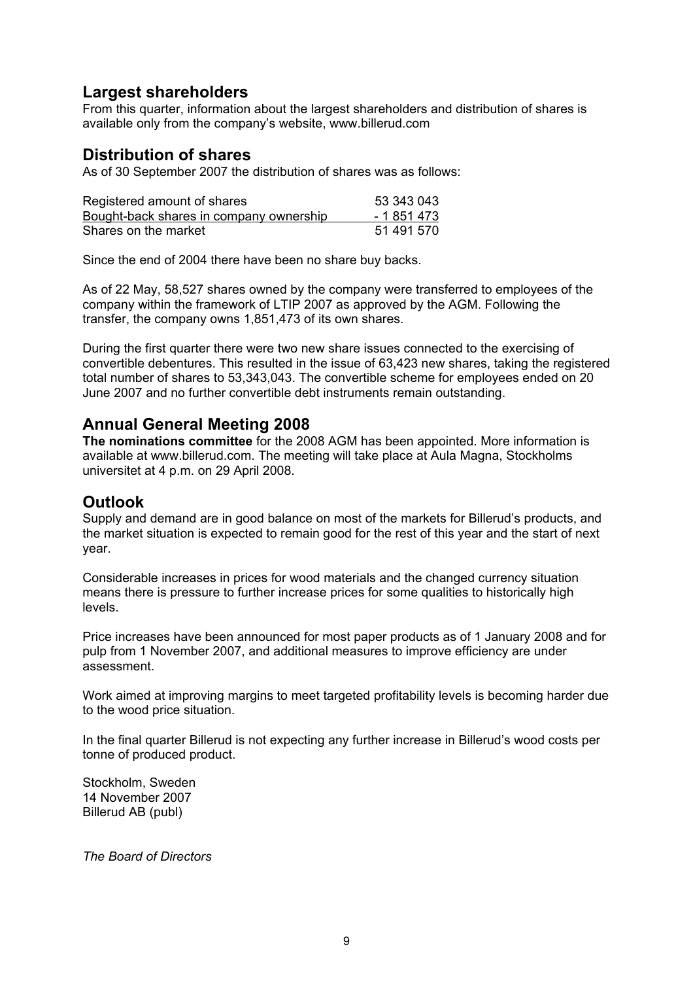## **Largest shareholders**

From this quarter, information about the largest shareholders and distribution of shares is available only from the company's website, www.billerud.com

## **Distribution of shares**

As of 30 September 2007 the distribution of shares was as follows:

| Registered amount of shares             | 53 343 043  |
|-----------------------------------------|-------------|
| Bought-back shares in company ownership | - 1 851 473 |
| Shares on the market                    | 51 491 570  |

Since the end of 2004 there have been no share buy backs.

As of 22 May, 58,527 shares owned by the company were transferred to employees of the company within the framework of LTIP 2007 as approved by the AGM. Following the transfer, the company owns 1,851,473 of its own shares.

During the first quarter there were two new share issues connected to the exercising of convertible debentures. This resulted in the issue of 63,423 new shares, taking the registered total number of shares to 53,343,043. The convertible scheme for employees ended on 20 June 2007 and no further convertible debt instruments remain outstanding.

## **Annual General Meeting 2008**

**The nominations committee** for the 2008 AGM has been appointed. More information is available at www.billerud.com. The meeting will take place at Aula Magna, Stockholms universitet at 4 p.m. on 29 April 2008.

## **Outlook**

Supply and demand are in good balance on most of the markets for Billerud's products, and the market situation is expected to remain good for the rest of this year and the start of next year.

Considerable increases in prices for wood materials and the changed currency situation means there is pressure to further increase prices for some qualities to historically high levels.

Price increases have been announced for most paper products as of 1 January 2008 and for pulp from 1 November 2007, and additional measures to improve efficiency are under assessment.

Work aimed at improving margins to meet targeted profitability levels is becoming harder due to the wood price situation.

In the final quarter Billerud is not expecting any further increase in Billerud's wood costs per tonne of produced product.

Stockholm, Sweden 14 November 2007 Billerud AB (publ)

*The Board of Directors*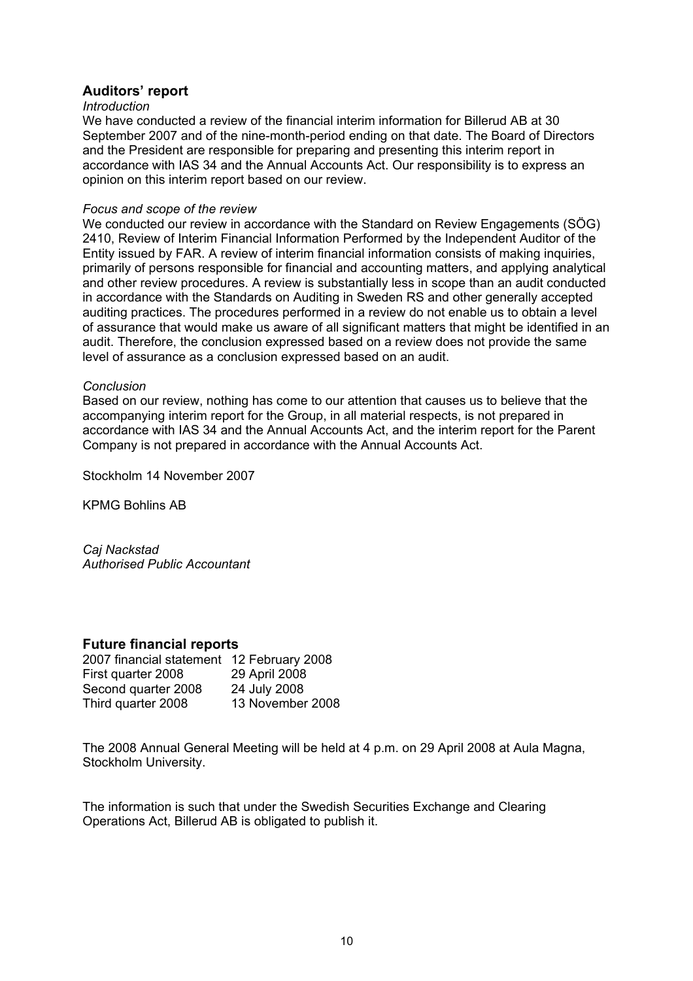#### **Auditors' report**

#### *Introduction*

We have conducted a review of the financial interim information for Billerud AB at 30 September 2007 and of the nine-month-period ending on that date. The Board of Directors and the President are responsible for preparing and presenting this interim report in accordance with IAS 34 and the Annual Accounts Act. Our responsibility is to express an opinion on this interim report based on our review.

#### *Focus and scope of the review*

We conducted our review in accordance with the Standard on Review Engagements (SÖG) 2410, Review of Interim Financial Information Performed by the Independent Auditor of the Entity issued by FAR. A review of interim financial information consists of making inquiries, primarily of persons responsible for financial and accounting matters, and applying analytical and other review procedures. A review is substantially less in scope than an audit conducted in accordance with the Standards on Auditing in Sweden RS and other generally accepted auditing practices. The procedures performed in a review do not enable us to obtain a level of assurance that would make us aware of all significant matters that might be identified in an audit. Therefore, the conclusion expressed based on a review does not provide the same level of assurance as a conclusion expressed based on an audit.

#### *Conclusion*

Based on our review, nothing has come to our attention that causes us to believe that the accompanying interim report for the Group, in all material respects, is not prepared in accordance with IAS 34 and the Annual Accounts Act, and the interim report for the Parent Company is not prepared in accordance with the Annual Accounts Act.

Stockholm 14 November 2007

KPMG Bohlins AB

*Caj Nackstad Authorised Public Accountant* 

#### **Future financial reports**

| 2007 financial statement 12 February 2008 |                  |
|-------------------------------------------|------------------|
| First quarter 2008                        | 29 April 2008    |
| Second quarter 2008                       | 24 July 2008     |
| Third quarter 2008                        | 13 November 2008 |

The 2008 Annual General Meeting will be held at 4 p.m. on 29 April 2008 at Aula Magna, Stockholm University.

The information is such that under the Swedish Securities Exchange and Clearing Operations Act, Billerud AB is obligated to publish it.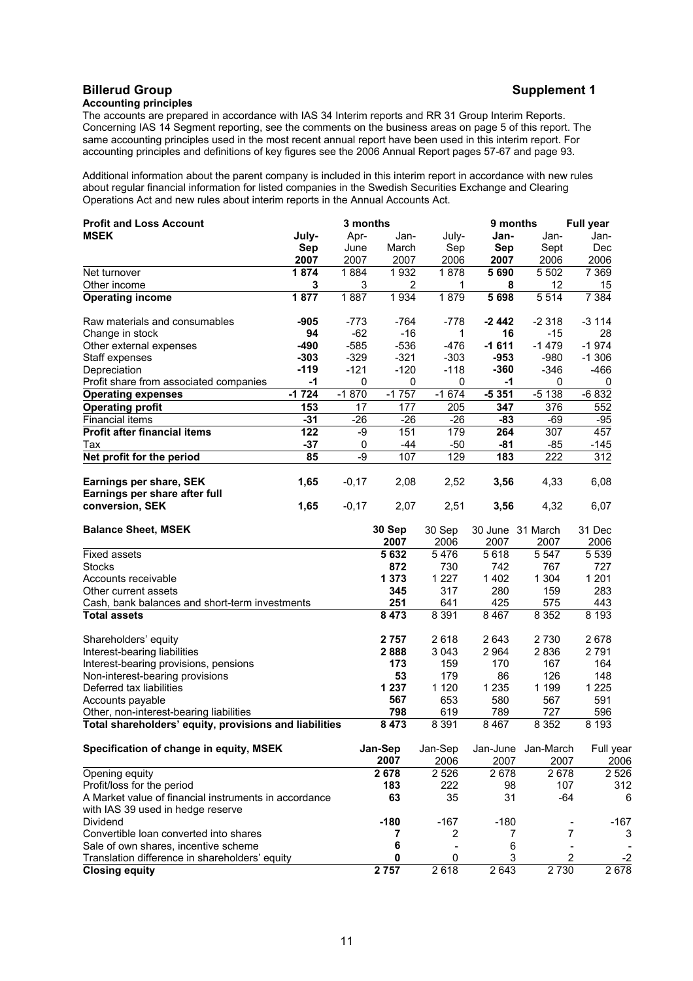#### **Billerud Group Supplement 1 Accounting principles**

The accounts are prepared in accordance with IAS 34 Interim reports and RR 31 Group Interim Reports. Concerning IAS 14 Segment reporting, see the comments on the business areas on page 5 of this report. The same accounting principles used in the most recent annual report have been used in this interim report. For accounting principles and definitions of key figures see the 2006 Annual Report pages 57-67 and page 93.

Additional information about the parent company is included in this interim report in accordance with new rules about regular financial information for listed companies in the Swedish Securities Exchange and Clearing Operations Act and new rules about interim reports in the Annual Accounts Act.

| <b>MSEK</b><br>July-<br>Apr-<br>Jan-<br>July-<br>Jan-<br>Jan-<br>Jan-<br>March<br>Sep<br><b>Sep</b><br>Sept<br>Dec<br>Sep<br>June<br>2007<br>2007<br>2007<br>2006<br>2007<br>2006<br>2006<br>1874<br>1878<br>7 3 6 9<br>1884<br>1932<br>5690<br>5 5 0 2<br>Net turnover<br>3<br>8<br>12<br>Other income<br>3<br>2<br>1<br>15<br>1877<br>1887<br>1934<br>1879<br>5698<br>5514<br>7 3 8 4<br><b>Operating income</b><br>$-778$<br>$-2318$<br>$-3114$<br>Raw materials and consumables<br>-905<br>$-773$<br>$-764$<br>-2 442<br>$-62$<br>$-16$<br>16<br>94<br>1<br>$-15$<br>28<br>Change in stock<br>$-585$<br>$-536$<br>$-1611$<br>$-1479$<br>$-1974$<br>$-490$<br>$-476$<br>Other external expenses<br>$-303$<br>$-329$<br>$-321$<br>$-303$<br>$-953$<br>$-980$<br>$-1306$<br>Staff expenses<br>$-119$<br>$-121$<br>$-120$<br>$-118$<br>$-360$<br>$-346$<br>$-466$<br>Depreciation<br>$-1$<br>$\mathbf 0$<br>0<br>$\mathbf 0$<br>0<br>$\mathbf 0$<br>Profit share from associated companies<br>-1<br>$-1724$<br>$-5351$<br>$-1870$<br>$-1757$<br>$-1674$<br>$-5138$<br>$-6832$<br><b>Operating expenses</b><br><b>Operating profit</b><br>153<br>347<br>17<br>177<br>205<br>376<br>552<br>$-31$<br>$-26$<br><b>Financial items</b><br>$-26$<br>$-26$<br>$-83$<br>$-95$<br>-69<br><b>Profit after financial items</b><br>151<br>264<br>307<br>122<br>-9<br>179<br>457<br>Tax<br>$-37$<br>$-50$<br>$-81$<br>$-85$<br>0<br>-44<br>$-145$<br>129<br>85<br>-9<br>107<br>183<br>222<br>312<br>Net profit for the period<br>Earnings per share, SEK<br>1,65<br>$-0,17$<br>2,08<br>2,52<br>3,56<br>4,33<br>6,08<br>Earnings per share after full<br>conversion, SEK<br>1,65<br>2,07<br>2,51<br>4,32<br>6,07<br>$-0,17$<br>3,56<br>31 Dec<br><b>Balance Sheet, MSEK</b><br>30 Sep<br>30 Sep<br>30 June 31 March<br>2007<br>2007<br>2006<br>2007<br>2006<br><b>Fixed assets</b><br>5632<br>5476<br>5618<br>5 5 4 7<br>5 5 3 9<br>872<br>730<br>742<br>767<br>727<br>Stocks<br>1 3 7 3<br>1 2 2 7<br>1 4 0 2<br>1 3 0 4<br>1 2 0 1<br>Accounts receivable<br>345<br>317<br>280<br>159<br>283<br>Other current assets<br>251<br>425<br>575<br>Cash, bank balances and short-term investments<br>641<br>443<br>8 4 7 3<br>8 3 9 1<br>8 3 5 2<br><b>Total assets</b><br>8 4 6 7<br>8 1 9 3<br>2 6 4 3<br>2678<br>2 7 5 7<br>2618<br>2 7 3 0<br>Shareholders' equity<br>2791<br>Interest-bearing liabilities<br>2888<br>3 0 4 3<br>2 9 64<br>2836<br>159<br>170<br>164<br>Interest-bearing provisions, pensions<br>173<br>167<br>53<br>179<br>86<br>126<br>148<br>Non-interest-bearing provisions<br>1 2 3 7<br>1 1 2 0<br>1 2 3 5<br>1 2 2 5<br>Deferred tax liabilities<br>1 1 9 9<br>567<br>653<br>580<br>567<br>591<br>Accounts payable<br>798<br>619<br>789<br>727<br>596<br>Other, non-interest-bearing liabilities<br>8 3 9 1<br>8 4 6 7<br>Total shareholders' equity, provisions and liabilities<br>8 4 7 3<br>8 3 5 2<br>8 1 9 3<br>Specification of change in equity, MSEK<br>Jan-Sep<br>Jan-Sep<br>Jan-June Jan-March<br>Full year<br>2007<br>2006<br>2007<br>2007<br>2006<br>2 6 7 8<br>2 5 2 6<br>2678<br>2678<br>Opening equity<br>2 5 2 6<br>Profit/loss for the period<br>183<br>222<br>98<br>107<br>312<br>31<br>A Market value of financial instruments in accordance<br>63<br>35<br>$-64$<br>6<br>with IAS 39 used in hedge reserve<br>$-167$<br>Dividend<br>$-180$<br>$-180$<br>$-167$<br>Convertible loan converted into shares<br>7<br>2<br>7<br>3<br>7<br>6<br>Sale of own shares, incentive scheme<br>6<br>3<br>$\overline{\mathbf{c}}$<br>Translation difference in shareholders' equity<br>0<br>0<br>-2<br>2 7 5 7<br>2 7 3 0<br>2618<br>2643<br>2 6 7 8<br><b>Closing equity</b> | <b>Profit and Loss Account</b> | 3 months |  | 9 months | <b>Full year</b> |
|----------------------------------------------------------------------------------------------------------------------------------------------------------------------------------------------------------------------------------------------------------------------------------------------------------------------------------------------------------------------------------------------------------------------------------------------------------------------------------------------------------------------------------------------------------------------------------------------------------------------------------------------------------------------------------------------------------------------------------------------------------------------------------------------------------------------------------------------------------------------------------------------------------------------------------------------------------------------------------------------------------------------------------------------------------------------------------------------------------------------------------------------------------------------------------------------------------------------------------------------------------------------------------------------------------------------------------------------------------------------------------------------------------------------------------------------------------------------------------------------------------------------------------------------------------------------------------------------------------------------------------------------------------------------------------------------------------------------------------------------------------------------------------------------------------------------------------------------------------------------------------------------------------------------------------------------------------------------------------------------------------------------------------------------------------------------------------------------------------------------------------------------------------------------------------------------------------------------------------------------------------------------------------------------------------------------------------------------------------------------------------------------------------------------------------------------------------------------------------------------------------------------------------------------------------------------------------------------------------------------------------------------------------------------------------------------------------------------------------------------------------------------------------------------------------------------------------------------------------------------------------------------------------------------------------------------------------------------------------------------------------------------------------------------------------------------------------------------------------------------------------------------------------------------------------------------------------------------------------------------------------------------------------------------------------------------------------------------------------------------------------------------------------------------------------------------------------------------------------------------------------------------------------------------------------------------------------------------------------------------------------------------------------------------------------------------|--------------------------------|----------|--|----------|------------------|
|                                                                                                                                                                                                                                                                                                                                                                                                                                                                                                                                                                                                                                                                                                                                                                                                                                                                                                                                                                                                                                                                                                                                                                                                                                                                                                                                                                                                                                                                                                                                                                                                                                                                                                                                                                                                                                                                                                                                                                                                                                                                                                                                                                                                                                                                                                                                                                                                                                                                                                                                                                                                                                                                                                                                                                                                                                                                                                                                                                                                                                                                                                                                                                                                                                                                                                                                                                                                                                                                                                                                                                                                                                                                                              |                                |          |  |          |                  |
|                                                                                                                                                                                                                                                                                                                                                                                                                                                                                                                                                                                                                                                                                                                                                                                                                                                                                                                                                                                                                                                                                                                                                                                                                                                                                                                                                                                                                                                                                                                                                                                                                                                                                                                                                                                                                                                                                                                                                                                                                                                                                                                                                                                                                                                                                                                                                                                                                                                                                                                                                                                                                                                                                                                                                                                                                                                                                                                                                                                                                                                                                                                                                                                                                                                                                                                                                                                                                                                                                                                                                                                                                                                                                              |                                |          |  |          |                  |
|                                                                                                                                                                                                                                                                                                                                                                                                                                                                                                                                                                                                                                                                                                                                                                                                                                                                                                                                                                                                                                                                                                                                                                                                                                                                                                                                                                                                                                                                                                                                                                                                                                                                                                                                                                                                                                                                                                                                                                                                                                                                                                                                                                                                                                                                                                                                                                                                                                                                                                                                                                                                                                                                                                                                                                                                                                                                                                                                                                                                                                                                                                                                                                                                                                                                                                                                                                                                                                                                                                                                                                                                                                                                                              |                                |          |  |          |                  |
|                                                                                                                                                                                                                                                                                                                                                                                                                                                                                                                                                                                                                                                                                                                                                                                                                                                                                                                                                                                                                                                                                                                                                                                                                                                                                                                                                                                                                                                                                                                                                                                                                                                                                                                                                                                                                                                                                                                                                                                                                                                                                                                                                                                                                                                                                                                                                                                                                                                                                                                                                                                                                                                                                                                                                                                                                                                                                                                                                                                                                                                                                                                                                                                                                                                                                                                                                                                                                                                                                                                                                                                                                                                                                              |                                |          |  |          |                  |
|                                                                                                                                                                                                                                                                                                                                                                                                                                                                                                                                                                                                                                                                                                                                                                                                                                                                                                                                                                                                                                                                                                                                                                                                                                                                                                                                                                                                                                                                                                                                                                                                                                                                                                                                                                                                                                                                                                                                                                                                                                                                                                                                                                                                                                                                                                                                                                                                                                                                                                                                                                                                                                                                                                                                                                                                                                                                                                                                                                                                                                                                                                                                                                                                                                                                                                                                                                                                                                                                                                                                                                                                                                                                                              |                                |          |  |          |                  |
|                                                                                                                                                                                                                                                                                                                                                                                                                                                                                                                                                                                                                                                                                                                                                                                                                                                                                                                                                                                                                                                                                                                                                                                                                                                                                                                                                                                                                                                                                                                                                                                                                                                                                                                                                                                                                                                                                                                                                                                                                                                                                                                                                                                                                                                                                                                                                                                                                                                                                                                                                                                                                                                                                                                                                                                                                                                                                                                                                                                                                                                                                                                                                                                                                                                                                                                                                                                                                                                                                                                                                                                                                                                                                              |                                |          |  |          |                  |
|                                                                                                                                                                                                                                                                                                                                                                                                                                                                                                                                                                                                                                                                                                                                                                                                                                                                                                                                                                                                                                                                                                                                                                                                                                                                                                                                                                                                                                                                                                                                                                                                                                                                                                                                                                                                                                                                                                                                                                                                                                                                                                                                                                                                                                                                                                                                                                                                                                                                                                                                                                                                                                                                                                                                                                                                                                                                                                                                                                                                                                                                                                                                                                                                                                                                                                                                                                                                                                                                                                                                                                                                                                                                                              |                                |          |  |          |                  |
|                                                                                                                                                                                                                                                                                                                                                                                                                                                                                                                                                                                                                                                                                                                                                                                                                                                                                                                                                                                                                                                                                                                                                                                                                                                                                                                                                                                                                                                                                                                                                                                                                                                                                                                                                                                                                                                                                                                                                                                                                                                                                                                                                                                                                                                                                                                                                                                                                                                                                                                                                                                                                                                                                                                                                                                                                                                                                                                                                                                                                                                                                                                                                                                                                                                                                                                                                                                                                                                                                                                                                                                                                                                                                              |                                |          |  |          |                  |
|                                                                                                                                                                                                                                                                                                                                                                                                                                                                                                                                                                                                                                                                                                                                                                                                                                                                                                                                                                                                                                                                                                                                                                                                                                                                                                                                                                                                                                                                                                                                                                                                                                                                                                                                                                                                                                                                                                                                                                                                                                                                                                                                                                                                                                                                                                                                                                                                                                                                                                                                                                                                                                                                                                                                                                                                                                                                                                                                                                                                                                                                                                                                                                                                                                                                                                                                                                                                                                                                                                                                                                                                                                                                                              |                                |          |  |          |                  |
|                                                                                                                                                                                                                                                                                                                                                                                                                                                                                                                                                                                                                                                                                                                                                                                                                                                                                                                                                                                                                                                                                                                                                                                                                                                                                                                                                                                                                                                                                                                                                                                                                                                                                                                                                                                                                                                                                                                                                                                                                                                                                                                                                                                                                                                                                                                                                                                                                                                                                                                                                                                                                                                                                                                                                                                                                                                                                                                                                                                                                                                                                                                                                                                                                                                                                                                                                                                                                                                                                                                                                                                                                                                                                              |                                |          |  |          |                  |
|                                                                                                                                                                                                                                                                                                                                                                                                                                                                                                                                                                                                                                                                                                                                                                                                                                                                                                                                                                                                                                                                                                                                                                                                                                                                                                                                                                                                                                                                                                                                                                                                                                                                                                                                                                                                                                                                                                                                                                                                                                                                                                                                                                                                                                                                                                                                                                                                                                                                                                                                                                                                                                                                                                                                                                                                                                                                                                                                                                                                                                                                                                                                                                                                                                                                                                                                                                                                                                                                                                                                                                                                                                                                                              |                                |          |  |          |                  |
|                                                                                                                                                                                                                                                                                                                                                                                                                                                                                                                                                                                                                                                                                                                                                                                                                                                                                                                                                                                                                                                                                                                                                                                                                                                                                                                                                                                                                                                                                                                                                                                                                                                                                                                                                                                                                                                                                                                                                                                                                                                                                                                                                                                                                                                                                                                                                                                                                                                                                                                                                                                                                                                                                                                                                                                                                                                                                                                                                                                                                                                                                                                                                                                                                                                                                                                                                                                                                                                                                                                                                                                                                                                                                              |                                |          |  |          |                  |
|                                                                                                                                                                                                                                                                                                                                                                                                                                                                                                                                                                                                                                                                                                                                                                                                                                                                                                                                                                                                                                                                                                                                                                                                                                                                                                                                                                                                                                                                                                                                                                                                                                                                                                                                                                                                                                                                                                                                                                                                                                                                                                                                                                                                                                                                                                                                                                                                                                                                                                                                                                                                                                                                                                                                                                                                                                                                                                                                                                                                                                                                                                                                                                                                                                                                                                                                                                                                                                                                                                                                                                                                                                                                                              |                                |          |  |          |                  |
|                                                                                                                                                                                                                                                                                                                                                                                                                                                                                                                                                                                                                                                                                                                                                                                                                                                                                                                                                                                                                                                                                                                                                                                                                                                                                                                                                                                                                                                                                                                                                                                                                                                                                                                                                                                                                                                                                                                                                                                                                                                                                                                                                                                                                                                                                                                                                                                                                                                                                                                                                                                                                                                                                                                                                                                                                                                                                                                                                                                                                                                                                                                                                                                                                                                                                                                                                                                                                                                                                                                                                                                                                                                                                              |                                |          |  |          |                  |
|                                                                                                                                                                                                                                                                                                                                                                                                                                                                                                                                                                                                                                                                                                                                                                                                                                                                                                                                                                                                                                                                                                                                                                                                                                                                                                                                                                                                                                                                                                                                                                                                                                                                                                                                                                                                                                                                                                                                                                                                                                                                                                                                                                                                                                                                                                                                                                                                                                                                                                                                                                                                                                                                                                                                                                                                                                                                                                                                                                                                                                                                                                                                                                                                                                                                                                                                                                                                                                                                                                                                                                                                                                                                                              |                                |          |  |          |                  |
|                                                                                                                                                                                                                                                                                                                                                                                                                                                                                                                                                                                                                                                                                                                                                                                                                                                                                                                                                                                                                                                                                                                                                                                                                                                                                                                                                                                                                                                                                                                                                                                                                                                                                                                                                                                                                                                                                                                                                                                                                                                                                                                                                                                                                                                                                                                                                                                                                                                                                                                                                                                                                                                                                                                                                                                                                                                                                                                                                                                                                                                                                                                                                                                                                                                                                                                                                                                                                                                                                                                                                                                                                                                                                              |                                |          |  |          |                  |
|                                                                                                                                                                                                                                                                                                                                                                                                                                                                                                                                                                                                                                                                                                                                                                                                                                                                                                                                                                                                                                                                                                                                                                                                                                                                                                                                                                                                                                                                                                                                                                                                                                                                                                                                                                                                                                                                                                                                                                                                                                                                                                                                                                                                                                                                                                                                                                                                                                                                                                                                                                                                                                                                                                                                                                                                                                                                                                                                                                                                                                                                                                                                                                                                                                                                                                                                                                                                                                                                                                                                                                                                                                                                                              |                                |          |  |          |                  |
|                                                                                                                                                                                                                                                                                                                                                                                                                                                                                                                                                                                                                                                                                                                                                                                                                                                                                                                                                                                                                                                                                                                                                                                                                                                                                                                                                                                                                                                                                                                                                                                                                                                                                                                                                                                                                                                                                                                                                                                                                                                                                                                                                                                                                                                                                                                                                                                                                                                                                                                                                                                                                                                                                                                                                                                                                                                                                                                                                                                                                                                                                                                                                                                                                                                                                                                                                                                                                                                                                                                                                                                                                                                                                              |                                |          |  |          |                  |
|                                                                                                                                                                                                                                                                                                                                                                                                                                                                                                                                                                                                                                                                                                                                                                                                                                                                                                                                                                                                                                                                                                                                                                                                                                                                                                                                                                                                                                                                                                                                                                                                                                                                                                                                                                                                                                                                                                                                                                                                                                                                                                                                                                                                                                                                                                                                                                                                                                                                                                                                                                                                                                                                                                                                                                                                                                                                                                                                                                                                                                                                                                                                                                                                                                                                                                                                                                                                                                                                                                                                                                                                                                                                                              |                                |          |  |          |                  |
|                                                                                                                                                                                                                                                                                                                                                                                                                                                                                                                                                                                                                                                                                                                                                                                                                                                                                                                                                                                                                                                                                                                                                                                                                                                                                                                                                                                                                                                                                                                                                                                                                                                                                                                                                                                                                                                                                                                                                                                                                                                                                                                                                                                                                                                                                                                                                                                                                                                                                                                                                                                                                                                                                                                                                                                                                                                                                                                                                                                                                                                                                                                                                                                                                                                                                                                                                                                                                                                                                                                                                                                                                                                                                              |                                |          |  |          |                  |
|                                                                                                                                                                                                                                                                                                                                                                                                                                                                                                                                                                                                                                                                                                                                                                                                                                                                                                                                                                                                                                                                                                                                                                                                                                                                                                                                                                                                                                                                                                                                                                                                                                                                                                                                                                                                                                                                                                                                                                                                                                                                                                                                                                                                                                                                                                                                                                                                                                                                                                                                                                                                                                                                                                                                                                                                                                                                                                                                                                                                                                                                                                                                                                                                                                                                                                                                                                                                                                                                                                                                                                                                                                                                                              |                                |          |  |          |                  |
|                                                                                                                                                                                                                                                                                                                                                                                                                                                                                                                                                                                                                                                                                                                                                                                                                                                                                                                                                                                                                                                                                                                                                                                                                                                                                                                                                                                                                                                                                                                                                                                                                                                                                                                                                                                                                                                                                                                                                                                                                                                                                                                                                                                                                                                                                                                                                                                                                                                                                                                                                                                                                                                                                                                                                                                                                                                                                                                                                                                                                                                                                                                                                                                                                                                                                                                                                                                                                                                                                                                                                                                                                                                                                              |                                |          |  |          |                  |
|                                                                                                                                                                                                                                                                                                                                                                                                                                                                                                                                                                                                                                                                                                                                                                                                                                                                                                                                                                                                                                                                                                                                                                                                                                                                                                                                                                                                                                                                                                                                                                                                                                                                                                                                                                                                                                                                                                                                                                                                                                                                                                                                                                                                                                                                                                                                                                                                                                                                                                                                                                                                                                                                                                                                                                                                                                                                                                                                                                                                                                                                                                                                                                                                                                                                                                                                                                                                                                                                                                                                                                                                                                                                                              |                                |          |  |          |                  |
|                                                                                                                                                                                                                                                                                                                                                                                                                                                                                                                                                                                                                                                                                                                                                                                                                                                                                                                                                                                                                                                                                                                                                                                                                                                                                                                                                                                                                                                                                                                                                                                                                                                                                                                                                                                                                                                                                                                                                                                                                                                                                                                                                                                                                                                                                                                                                                                                                                                                                                                                                                                                                                                                                                                                                                                                                                                                                                                                                                                                                                                                                                                                                                                                                                                                                                                                                                                                                                                                                                                                                                                                                                                                                              |                                |          |  |          |                  |
|                                                                                                                                                                                                                                                                                                                                                                                                                                                                                                                                                                                                                                                                                                                                                                                                                                                                                                                                                                                                                                                                                                                                                                                                                                                                                                                                                                                                                                                                                                                                                                                                                                                                                                                                                                                                                                                                                                                                                                                                                                                                                                                                                                                                                                                                                                                                                                                                                                                                                                                                                                                                                                                                                                                                                                                                                                                                                                                                                                                                                                                                                                                                                                                                                                                                                                                                                                                                                                                                                                                                                                                                                                                                                              |                                |          |  |          |                  |
|                                                                                                                                                                                                                                                                                                                                                                                                                                                                                                                                                                                                                                                                                                                                                                                                                                                                                                                                                                                                                                                                                                                                                                                                                                                                                                                                                                                                                                                                                                                                                                                                                                                                                                                                                                                                                                                                                                                                                                                                                                                                                                                                                                                                                                                                                                                                                                                                                                                                                                                                                                                                                                                                                                                                                                                                                                                                                                                                                                                                                                                                                                                                                                                                                                                                                                                                                                                                                                                                                                                                                                                                                                                                                              |                                |          |  |          |                  |
|                                                                                                                                                                                                                                                                                                                                                                                                                                                                                                                                                                                                                                                                                                                                                                                                                                                                                                                                                                                                                                                                                                                                                                                                                                                                                                                                                                                                                                                                                                                                                                                                                                                                                                                                                                                                                                                                                                                                                                                                                                                                                                                                                                                                                                                                                                                                                                                                                                                                                                                                                                                                                                                                                                                                                                                                                                                                                                                                                                                                                                                                                                                                                                                                                                                                                                                                                                                                                                                                                                                                                                                                                                                                                              |                                |          |  |          |                  |
|                                                                                                                                                                                                                                                                                                                                                                                                                                                                                                                                                                                                                                                                                                                                                                                                                                                                                                                                                                                                                                                                                                                                                                                                                                                                                                                                                                                                                                                                                                                                                                                                                                                                                                                                                                                                                                                                                                                                                                                                                                                                                                                                                                                                                                                                                                                                                                                                                                                                                                                                                                                                                                                                                                                                                                                                                                                                                                                                                                                                                                                                                                                                                                                                                                                                                                                                                                                                                                                                                                                                                                                                                                                                                              |                                |          |  |          |                  |
|                                                                                                                                                                                                                                                                                                                                                                                                                                                                                                                                                                                                                                                                                                                                                                                                                                                                                                                                                                                                                                                                                                                                                                                                                                                                                                                                                                                                                                                                                                                                                                                                                                                                                                                                                                                                                                                                                                                                                                                                                                                                                                                                                                                                                                                                                                                                                                                                                                                                                                                                                                                                                                                                                                                                                                                                                                                                                                                                                                                                                                                                                                                                                                                                                                                                                                                                                                                                                                                                                                                                                                                                                                                                                              |                                |          |  |          |                  |
|                                                                                                                                                                                                                                                                                                                                                                                                                                                                                                                                                                                                                                                                                                                                                                                                                                                                                                                                                                                                                                                                                                                                                                                                                                                                                                                                                                                                                                                                                                                                                                                                                                                                                                                                                                                                                                                                                                                                                                                                                                                                                                                                                                                                                                                                                                                                                                                                                                                                                                                                                                                                                                                                                                                                                                                                                                                                                                                                                                                                                                                                                                                                                                                                                                                                                                                                                                                                                                                                                                                                                                                                                                                                                              |                                |          |  |          |                  |
|                                                                                                                                                                                                                                                                                                                                                                                                                                                                                                                                                                                                                                                                                                                                                                                                                                                                                                                                                                                                                                                                                                                                                                                                                                                                                                                                                                                                                                                                                                                                                                                                                                                                                                                                                                                                                                                                                                                                                                                                                                                                                                                                                                                                                                                                                                                                                                                                                                                                                                                                                                                                                                                                                                                                                                                                                                                                                                                                                                                                                                                                                                                                                                                                                                                                                                                                                                                                                                                                                                                                                                                                                                                                                              |                                |          |  |          |                  |
|                                                                                                                                                                                                                                                                                                                                                                                                                                                                                                                                                                                                                                                                                                                                                                                                                                                                                                                                                                                                                                                                                                                                                                                                                                                                                                                                                                                                                                                                                                                                                                                                                                                                                                                                                                                                                                                                                                                                                                                                                                                                                                                                                                                                                                                                                                                                                                                                                                                                                                                                                                                                                                                                                                                                                                                                                                                                                                                                                                                                                                                                                                                                                                                                                                                                                                                                                                                                                                                                                                                                                                                                                                                                                              |                                |          |  |          |                  |
|                                                                                                                                                                                                                                                                                                                                                                                                                                                                                                                                                                                                                                                                                                                                                                                                                                                                                                                                                                                                                                                                                                                                                                                                                                                                                                                                                                                                                                                                                                                                                                                                                                                                                                                                                                                                                                                                                                                                                                                                                                                                                                                                                                                                                                                                                                                                                                                                                                                                                                                                                                                                                                                                                                                                                                                                                                                                                                                                                                                                                                                                                                                                                                                                                                                                                                                                                                                                                                                                                                                                                                                                                                                                                              |                                |          |  |          |                  |
|                                                                                                                                                                                                                                                                                                                                                                                                                                                                                                                                                                                                                                                                                                                                                                                                                                                                                                                                                                                                                                                                                                                                                                                                                                                                                                                                                                                                                                                                                                                                                                                                                                                                                                                                                                                                                                                                                                                                                                                                                                                                                                                                                                                                                                                                                                                                                                                                                                                                                                                                                                                                                                                                                                                                                                                                                                                                                                                                                                                                                                                                                                                                                                                                                                                                                                                                                                                                                                                                                                                                                                                                                                                                                              |                                |          |  |          |                  |
|                                                                                                                                                                                                                                                                                                                                                                                                                                                                                                                                                                                                                                                                                                                                                                                                                                                                                                                                                                                                                                                                                                                                                                                                                                                                                                                                                                                                                                                                                                                                                                                                                                                                                                                                                                                                                                                                                                                                                                                                                                                                                                                                                                                                                                                                                                                                                                                                                                                                                                                                                                                                                                                                                                                                                                                                                                                                                                                                                                                                                                                                                                                                                                                                                                                                                                                                                                                                                                                                                                                                                                                                                                                                                              |                                |          |  |          |                  |
|                                                                                                                                                                                                                                                                                                                                                                                                                                                                                                                                                                                                                                                                                                                                                                                                                                                                                                                                                                                                                                                                                                                                                                                                                                                                                                                                                                                                                                                                                                                                                                                                                                                                                                                                                                                                                                                                                                                                                                                                                                                                                                                                                                                                                                                                                                                                                                                                                                                                                                                                                                                                                                                                                                                                                                                                                                                                                                                                                                                                                                                                                                                                                                                                                                                                                                                                                                                                                                                                                                                                                                                                                                                                                              |                                |          |  |          |                  |
|                                                                                                                                                                                                                                                                                                                                                                                                                                                                                                                                                                                                                                                                                                                                                                                                                                                                                                                                                                                                                                                                                                                                                                                                                                                                                                                                                                                                                                                                                                                                                                                                                                                                                                                                                                                                                                                                                                                                                                                                                                                                                                                                                                                                                                                                                                                                                                                                                                                                                                                                                                                                                                                                                                                                                                                                                                                                                                                                                                                                                                                                                                                                                                                                                                                                                                                                                                                                                                                                                                                                                                                                                                                                                              |                                |          |  |          |                  |
|                                                                                                                                                                                                                                                                                                                                                                                                                                                                                                                                                                                                                                                                                                                                                                                                                                                                                                                                                                                                                                                                                                                                                                                                                                                                                                                                                                                                                                                                                                                                                                                                                                                                                                                                                                                                                                                                                                                                                                                                                                                                                                                                                                                                                                                                                                                                                                                                                                                                                                                                                                                                                                                                                                                                                                                                                                                                                                                                                                                                                                                                                                                                                                                                                                                                                                                                                                                                                                                                                                                                                                                                                                                                                              |                                |          |  |          |                  |
|                                                                                                                                                                                                                                                                                                                                                                                                                                                                                                                                                                                                                                                                                                                                                                                                                                                                                                                                                                                                                                                                                                                                                                                                                                                                                                                                                                                                                                                                                                                                                                                                                                                                                                                                                                                                                                                                                                                                                                                                                                                                                                                                                                                                                                                                                                                                                                                                                                                                                                                                                                                                                                                                                                                                                                                                                                                                                                                                                                                                                                                                                                                                                                                                                                                                                                                                                                                                                                                                                                                                                                                                                                                                                              |                                |          |  |          |                  |
|                                                                                                                                                                                                                                                                                                                                                                                                                                                                                                                                                                                                                                                                                                                                                                                                                                                                                                                                                                                                                                                                                                                                                                                                                                                                                                                                                                                                                                                                                                                                                                                                                                                                                                                                                                                                                                                                                                                                                                                                                                                                                                                                                                                                                                                                                                                                                                                                                                                                                                                                                                                                                                                                                                                                                                                                                                                                                                                                                                                                                                                                                                                                                                                                                                                                                                                                                                                                                                                                                                                                                                                                                                                                                              |                                |          |  |          |                  |
|                                                                                                                                                                                                                                                                                                                                                                                                                                                                                                                                                                                                                                                                                                                                                                                                                                                                                                                                                                                                                                                                                                                                                                                                                                                                                                                                                                                                                                                                                                                                                                                                                                                                                                                                                                                                                                                                                                                                                                                                                                                                                                                                                                                                                                                                                                                                                                                                                                                                                                                                                                                                                                                                                                                                                                                                                                                                                                                                                                                                                                                                                                                                                                                                                                                                                                                                                                                                                                                                                                                                                                                                                                                                                              |                                |          |  |          |                  |
|                                                                                                                                                                                                                                                                                                                                                                                                                                                                                                                                                                                                                                                                                                                                                                                                                                                                                                                                                                                                                                                                                                                                                                                                                                                                                                                                                                                                                                                                                                                                                                                                                                                                                                                                                                                                                                                                                                                                                                                                                                                                                                                                                                                                                                                                                                                                                                                                                                                                                                                                                                                                                                                                                                                                                                                                                                                                                                                                                                                                                                                                                                                                                                                                                                                                                                                                                                                                                                                                                                                                                                                                                                                                                              |                                |          |  |          |                  |
|                                                                                                                                                                                                                                                                                                                                                                                                                                                                                                                                                                                                                                                                                                                                                                                                                                                                                                                                                                                                                                                                                                                                                                                                                                                                                                                                                                                                                                                                                                                                                                                                                                                                                                                                                                                                                                                                                                                                                                                                                                                                                                                                                                                                                                                                                                                                                                                                                                                                                                                                                                                                                                                                                                                                                                                                                                                                                                                                                                                                                                                                                                                                                                                                                                                                                                                                                                                                                                                                                                                                                                                                                                                                                              |                                |          |  |          |                  |
|                                                                                                                                                                                                                                                                                                                                                                                                                                                                                                                                                                                                                                                                                                                                                                                                                                                                                                                                                                                                                                                                                                                                                                                                                                                                                                                                                                                                                                                                                                                                                                                                                                                                                                                                                                                                                                                                                                                                                                                                                                                                                                                                                                                                                                                                                                                                                                                                                                                                                                                                                                                                                                                                                                                                                                                                                                                                                                                                                                                                                                                                                                                                                                                                                                                                                                                                                                                                                                                                                                                                                                                                                                                                                              |                                |          |  |          |                  |
|                                                                                                                                                                                                                                                                                                                                                                                                                                                                                                                                                                                                                                                                                                                                                                                                                                                                                                                                                                                                                                                                                                                                                                                                                                                                                                                                                                                                                                                                                                                                                                                                                                                                                                                                                                                                                                                                                                                                                                                                                                                                                                                                                                                                                                                                                                                                                                                                                                                                                                                                                                                                                                                                                                                                                                                                                                                                                                                                                                                                                                                                                                                                                                                                                                                                                                                                                                                                                                                                                                                                                                                                                                                                                              |                                |          |  |          |                  |
|                                                                                                                                                                                                                                                                                                                                                                                                                                                                                                                                                                                                                                                                                                                                                                                                                                                                                                                                                                                                                                                                                                                                                                                                                                                                                                                                                                                                                                                                                                                                                                                                                                                                                                                                                                                                                                                                                                                                                                                                                                                                                                                                                                                                                                                                                                                                                                                                                                                                                                                                                                                                                                                                                                                                                                                                                                                                                                                                                                                                                                                                                                                                                                                                                                                                                                                                                                                                                                                                                                                                                                                                                                                                                              |                                |          |  |          |                  |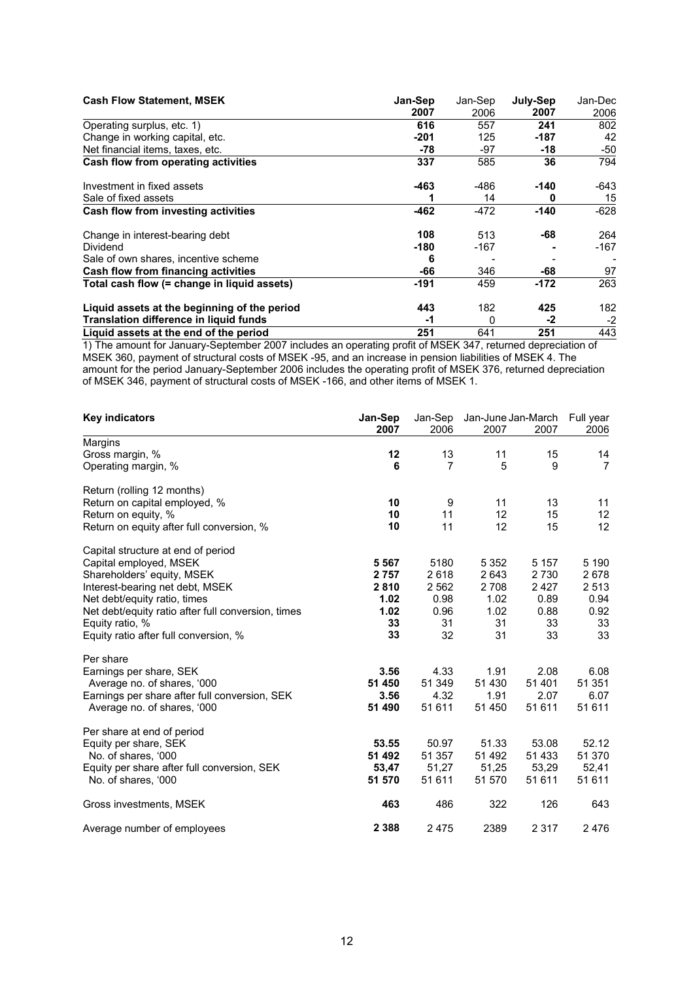| <b>Cash Flow Statement, MSEK</b>              | Jan-Sep | Jan-Sep | July-Sep | Jan-Dec |
|-----------------------------------------------|---------|---------|----------|---------|
|                                               | 2007    | 2006    | 2007     | 2006    |
| Operating surplus, etc. 1)                    | 616     | 557     | 241      | 802     |
| Change in working capital, etc.               | $-201$  | 125     | $-187$   | 42      |
| Net financial items, taxes, etc.              | -78     | -97     | -18      | $-50$   |
| Cash flow from operating activities           | 337     | 585     | 36       | 794     |
| Investment in fixed assets                    | $-463$  | -486    | -140     | -643    |
| Sale of fixed assets                          |         | 14      | 0        | 15      |
| Cash flow from investing activities           | $-462$  | $-472$  | $-140$   | $-628$  |
| Change in interest-bearing debt               | 108     | 513     | -68      | 264     |
| Dividend                                      | $-180$  | -167    |          | $-167$  |
| Sale of own shares, incentive scheme          | 6       |         |          |         |
| Cash flow from financing activities           | -66     | 346     | -68      | 97      |
| Total cash flow (= change in liquid assets)   | $-191$  | 459     | $-172$   | 263     |
| Liquid assets at the beginning of the period  | 443     | 182     | 425      | 182     |
| <b>Translation difference in liquid funds</b> | -1      | 0       | -2       | $-2$    |
| Liquid assets at the end of the period        | 251     | 641     | 251      | 443     |

1) The amount for January-September 2007 includes an operating profit of MSEK 347, returned depreciation of MSEK 360, payment of structural costs of MSEK -95, and an increase in pension liabilities of MSEK 4. The amount for the period January-September 2006 includes the operating profit of MSEK 376, returned depreciation of MSEK 346, payment of structural costs of MSEK -166, and other items of MSEK 1.

| <b>Key indicators</b>                              | Jan-Sep<br>Jan-Sep<br>Jan-June Jan-March |         | Full year |         |                |
|----------------------------------------------------|------------------------------------------|---------|-----------|---------|----------------|
|                                                    | 2007                                     | 2006    | 2007      | 2007    | 2006           |
| Margins                                            |                                          |         |           |         |                |
| Gross margin, %                                    | 12                                       | 13      | 11        | 15      | 14             |
| Operating margin, %                                | 6                                        | 7       | 5         | 9       | $\overline{7}$ |
| Return (rolling 12 months)                         |                                          |         |           |         |                |
| Return on capital employed, %                      | 10                                       | 9       | 11        | 13      | 11             |
| Return on equity, %                                | 10                                       | 11      | 12        | 15      | 12             |
| Return on equity after full conversion, %          | 10                                       | 11      | 12        | 15      | 12             |
| Capital structure at end of period                 |                                          |         |           |         |                |
| Capital employed, MSEK                             | 5 5 6 7                                  | 5180    | 5 3 5 2   | 5 1 5 7 | 5 1 9 0        |
| Shareholders' equity, MSEK                         | 2 7 5 7                                  | 2618    | 2643      | 2 7 3 0 | 2678           |
| Interest-bearing net debt, MSEK                    | 2810                                     | 2 5 6 2 | 2 7 0 8   | 2427    | 2 5 1 3        |
| Net debt/equity ratio, times                       | 1.02                                     | 0.98    | 1.02      | 0.89    | 0.94           |
| Net debt/equity ratio after full conversion, times | 1.02                                     | 0.96    | 1.02      | 0.88    | 0.92           |
| Equity ratio, %                                    | 33                                       | 31      | 31        | 33      | 33             |
| Equity ratio after full conversion, %              | 33                                       | 32      | 31        | 33      | 33             |
| Per share                                          |                                          |         |           |         |                |
| Earnings per share, SEK                            | 3.56                                     | 4.33    | 1.91      | 2.08    | 6.08           |
| Average no. of shares, '000                        | 51 450                                   | 51 349  | 51 430    | 51 401  | 51 351         |
| Earnings per share after full conversion, SEK      | 3.56                                     | 4.32    | 1.91      | 2.07    | 6.07           |
| Average no. of shares, '000                        | 51 490                                   | 51 611  | 51 450    | 51 611  | 51 611         |
| Per share at end of period                         |                                          |         |           |         |                |
| Equity per share, SEK                              | 53.55                                    | 50.97   | 51.33     | 53.08   | 52.12          |
| No. of shares, '000                                | 51 492                                   | 51 357  | 51 492    | 51 433  | 51 370         |
| Equity per share after full conversion, SEK        | 53,47                                    | 51,27   | 51,25     | 53,29   | 52,41          |
| No. of shares, '000                                | 51 570                                   | 51 611  | 51 570    | 51 611  | 51 611         |
| Gross investments, MSEK                            | 463                                      | 486     | 322       | 126     | 643            |
| Average number of employees                        | 2 3 8 8                                  | 2475    | 2389      | 2 3 1 7 | 2476           |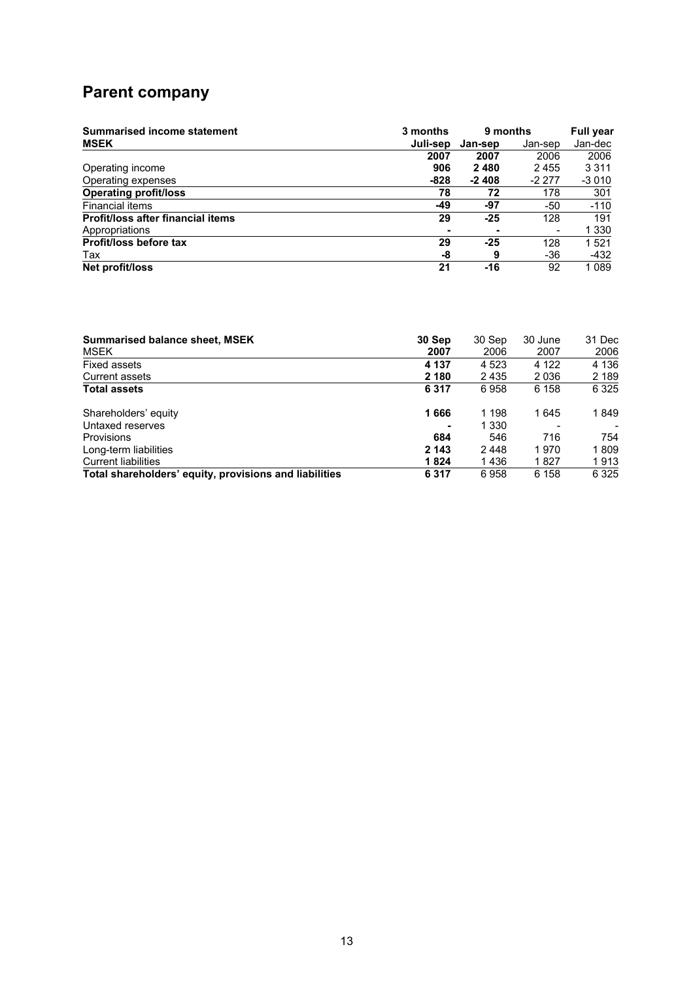## **Parent company**

| <b>Summarised income statement</b>       | 3 months | 9 months | <b>Full year</b> |         |
|------------------------------------------|----------|----------|------------------|---------|
| <b>MSEK</b>                              | Juli-sep | Jan-sep  | Jan-sep          | Jan-dec |
|                                          | 2007     | 2007     | 2006             | 2006    |
| Operating income                         | 906      | 2480     | 2455             | 3 3 1 1 |
| Operating expenses                       | -828     | $-2408$  | $-2277$          | $-3010$ |
| <b>Operating profit/loss</b>             | 78       | 72       | 178              | 301     |
| <b>Financial items</b>                   | -49      | -97      | -50              | $-110$  |
| <b>Profit/loss after financial items</b> | 29       | $-25$    | 128              | 191     |
| Appropriations                           |          | ۰        |                  | 1 3 3 0 |
| Profit/loss before tax                   | 29       | $-25$    | 128              | 1521    |
| Tax                                      | -8       | 9        | -36              | $-432$  |
| Net profit/loss                          | 21       | -16      | 92               | 1089    |

| <b>Summarised balance sheet, MSEK</b>                  | 30 Sep  | 30 Sep  | 30 June | 31 Dec  |
|--------------------------------------------------------|---------|---------|---------|---------|
| <b>MSEK</b>                                            | 2007    | 2006    | 2007    | 2006    |
| Fixed assets                                           | 4 1 3 7 | 4 5 2 3 | 4 1 2 2 | 4 1 3 6 |
| Current assets                                         | 2 180   | 2435    | 2036    | 2 189   |
| <b>Total assets</b>                                    | 6317    | 6958    | 6 1 5 8 | 6 3 2 5 |
| Shareholders' equity                                   | 1666    | 1 198   | 1645    | 1849    |
| Untaxed reserves                                       |         | 1 330   |         |         |
| <b>Provisions</b>                                      | 684     | 546     | 716     | 754     |
| Long-term liabilities                                  | 2 143   | 2448    | 1970    | 1809    |
| <b>Current liabilities</b>                             | 1824    | 1436    | 1827    | 1913    |
| Total shareholders' equity, provisions and liabilities | 6317    | 6958    | 6 1 5 8 | 6 3 2 5 |